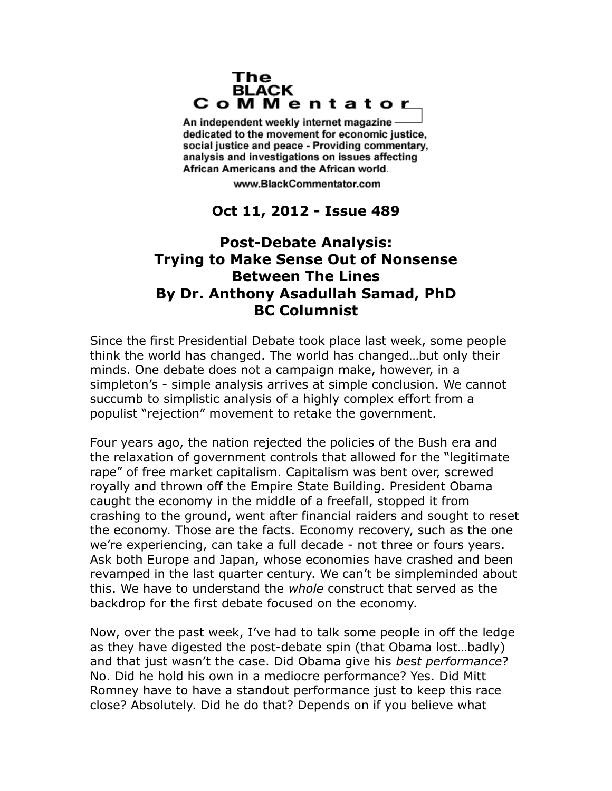## The **BLACK** CoMMentator

An independent weekly internet magazine dedicated to the movement for economic justice. social justice and peace - Providing commentary, analysis and investigations on issues affecting African Americans and the African world.

www.BlackCommentator.com

## **Oct 11, 2012 - Issue 489**

## **Post-Debate Analysis: Trying to Make Sense Out of Nonsense Between The Lines By Dr. Anthony Asadullah Samad, PhD BC Columnist**

Since the first Presidential Debate took place last week, some people think the world has changed. The world has changed…but only their minds. One debate does not a campaign make, however, in a simpleton's - simple analysis arrives at simple conclusion. We cannot succumb to simplistic analysis of a highly complex effort from a populist "rejection" movement to retake the government.

Four years ago, the nation rejected the policies of the Bush era and the relaxation of government controls that allowed for the "legitimate rape" of free market capitalism. Capitalism was bent over, screwed royally and thrown off the Empire State Building. President Obama caught the economy in the middle of a freefall, stopped it from crashing to the ground, went after financial raiders and sought to reset the economy. Those are the facts. Economy recovery, such as the one we're experiencing, can take a full decade - not three or fours years. Ask both Europe and Japan, whose economies have crashed and been revamped in the last quarter century. We can't be simpleminded about this. We have to understand the *whole* construct that served as the backdrop for the first debate focused on the economy.

Now, over the past week, I've had to talk some people in off the ledge as they have digested the post-debate spin (that Obama lost…badly) and that just wasn't the case. Did Obama give his *be*s*t performance*? No. Did he hold his own in a mediocre performance? Yes. Did Mitt Romney have to have a standout performance just to keep this race close? Absolutely. Did he do that? Depends on if you believe what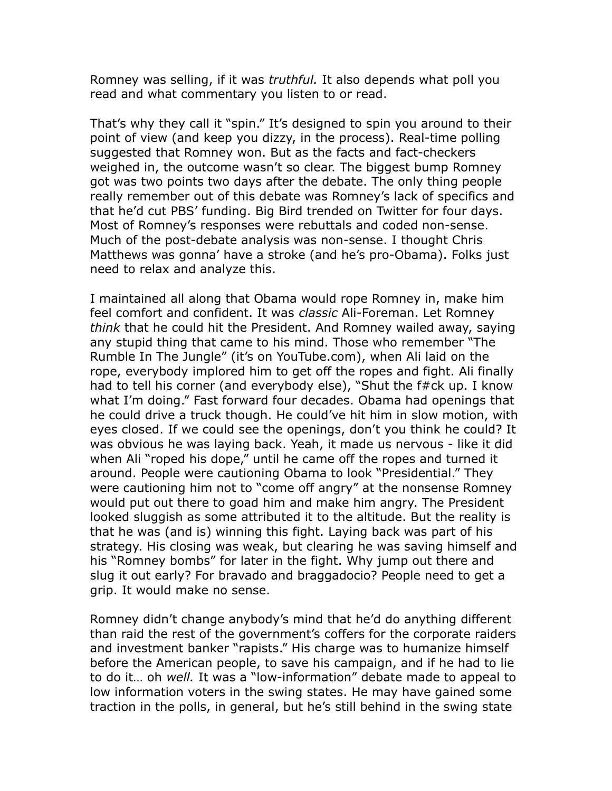Romney was selling, if it was *truthful.* It also depends what poll you read and what commentary you listen to or read.

That's why they call it "spin." It's designed to spin you around to their point of view (and keep you dizzy, in the process). Real-time polling suggested that Romney won. But as the facts and fact-checkers weighed in, the outcome wasn't so clear. The biggest bump Romney got was two points two days after the debate. The only thing people really remember out of this debate was Romney's lack of specifics and that he'd cut PBS' funding. Big Bird trended on Twitter for four days. Most of Romney's responses were rebuttals and coded non-sense. Much of the post-debate analysis was non-sense. I thought Chris Matthews was gonna' have a stroke (and he's pro-Obama). Folks just need to relax and analyze this.

I maintained all along that Obama would rope Romney in, make him feel comfort and confident. It was *classic* Ali-Foreman. Let Romney *think* that he could hit the President. And Romney wailed away, saying any stupid thing that came to his mind. Those who remember "The Rumble In The Jungle" (it's on YouTube.com), when Ali laid on the rope, everybody implored him to get off the ropes and fight. Ali finally had to tell his corner (and everybody else), "Shut the f#ck up. I know what I'm doing." Fast forward four decades. Obama had openings that he could drive a truck though. He could've hit him in slow motion, with eyes closed. If we could see the openings, don't you think he could? It was obvious he was laying back. Yeah, it made us nervous - like it did when Ali "roped his dope," until he came off the ropes and turned it around. People were cautioning Obama to look "Presidential." They were cautioning him not to "come off angry" at the nonsense Romney would put out there to goad him and make him angry. The President looked sluggish as some attributed it to the altitude. But the reality is that he was (and is) winning this fight. Laying back was part of his strategy. His closing was weak, but clearing he was saving himself and his "Romney bombs" for later in the fight. Why jump out there and slug it out early? For bravado and braggadocio? People need to get a grip. It would make no sense.

Romney didn't change anybody's mind that he'd do anything different than raid the rest of the government's coffers for the corporate raiders and investment banker "rapists." His charge was to humanize himself before the American people, to save his campaign, and if he had to lie to do it… oh *well.* It was a "low-information" debate made to appeal to low information voters in the swing states. He may have gained some traction in the polls, in general, but he's still behind in the swing state